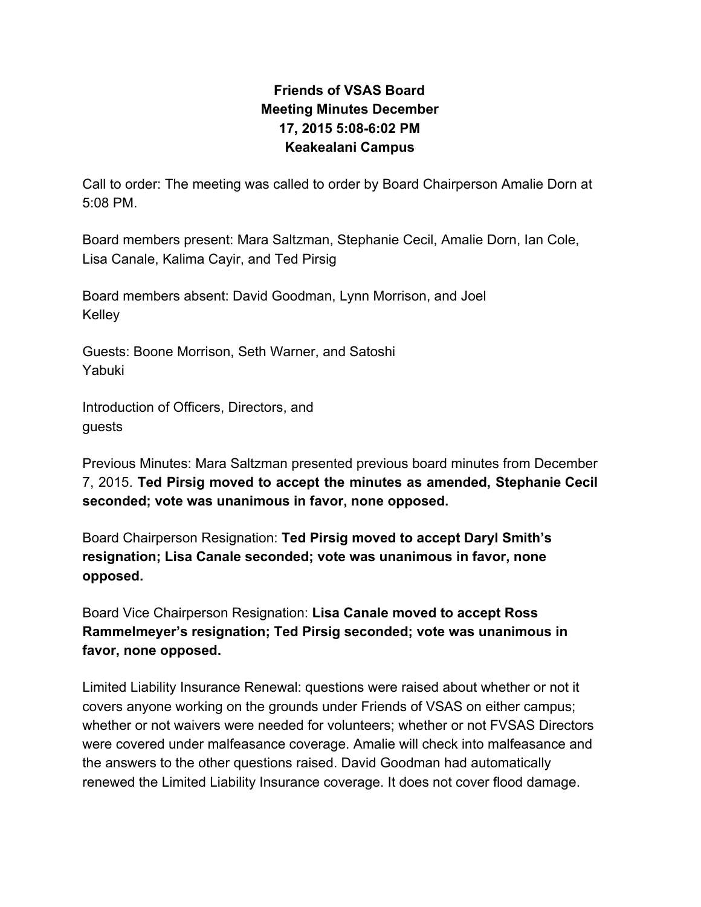## **Friends of VSAS Board Meeting Minutes December 17, 2015 5:08-6:02 PM Keakealani Campus**

Call to order: The meeting was called to order by Board Chairperson Amalie Dorn at 5:08 PM.

Board members present: Mara Saltzman, Stephanie Cecil, Amalie Dorn, Ian Cole, Lisa Canale, Kalima Cayir, and Ted Pirsig

Board members absent: David Goodman, Lynn Morrison, and Joel Kelley

Guests: Boone Morrison, Seth Warner, and Satoshi Yabuki

Introduction of Officers, Directors, and guests

Previous Minutes: Mara Saltzman presented previous board minutes from December 7, 2015. **Ted Pirsig moved to accept the minutes as amended, Stephanie Cecil seconded; vote was unanimous in favor, none opposed.**

Board Chairperson Resignation: **Ted Pirsig moved to accept Daryl Smith's resignation; Lisa Canale seconded; vote was unanimous in favor, none opposed.**

Board Vice Chairperson Resignation: **Lisa Canale moved to accept Ross Rammelmeyer's resignation; Ted Pirsig seconded; vote was unanimous in favor, none opposed.**

Limited Liability Insurance Renewal: questions were raised about whether or not it covers anyone working on the grounds under Friends of VSAS on either campus; whether or not waivers were needed for volunteers; whether or not FVSAS Directors were covered under malfeasance coverage. Amalie will check into malfeasance and the answers to the other questions raised. David Goodman had automatically renewed the Limited Liability Insurance coverage. It does not cover flood damage.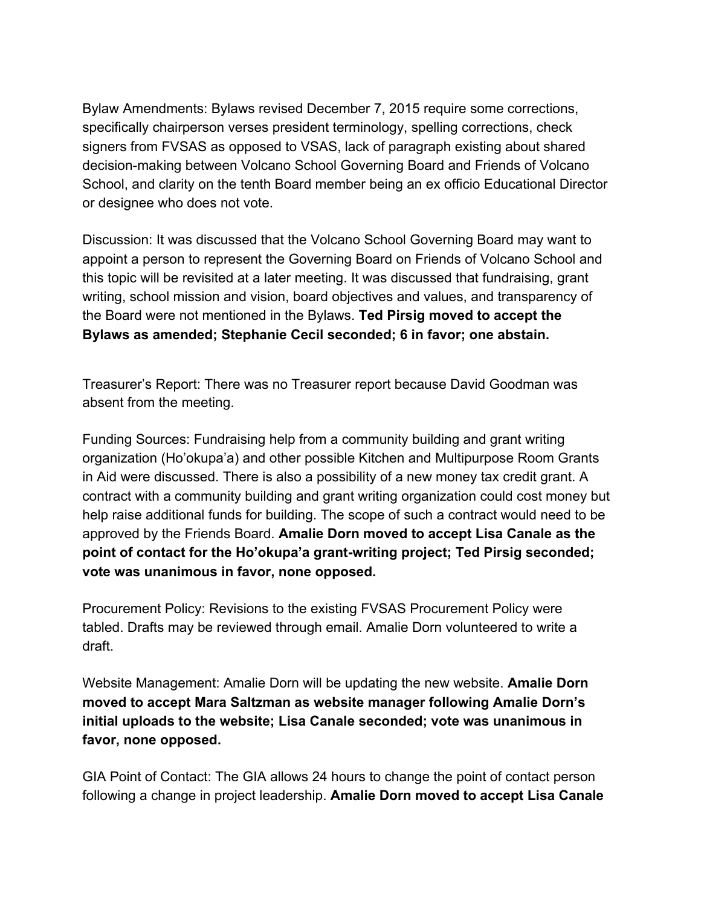Bylaw Amendments: Bylaws revised December 7, 2015 require some corrections, specifically chairperson verses president terminology, spelling corrections, check signers from FVSAS as opposed to VSAS, lack of paragraph existing about shared decision-making between Volcano School Governing Board and Friends of Volcano School, and clarity on the tenth Board member being an ex officio Educational Director or designee who does not vote.

Discussion: It was discussed that the Volcano School Governing Board may want to appoint a person to represent the Governing Board on Friends of Volcano School and this topic will be revisited at a later meeting. It was discussed that fundraising, grant writing, school mission and vision, board objectives and values, and transparency of the Board were not mentioned in the Bylaws. **Ted Pirsig moved to accept the Bylaws as amended; Stephanie Cecil seconded; 6 in favor; one abstain.**

Treasurer's Report: There was no Treasurer report because David Goodman was absent from the meeting.

Funding Sources: Fundraising help from a community building and grant writing organization (Ho'okupa'a) and other possible Kitchen and Multipurpose Room Grants in Aid were discussed. There is also a possibility of a new money tax credit grant. A contract with a community building and grant writing organization could cost money but help raise additional funds for building. The scope of such a contract would need to be approved by the Friends Board. **Amalie Dorn moved to accept Lisa Canale as the point of contact for the Ho'okupa'a grant-writing project; Ted Pirsig seconded; vote was unanimous in favor, none opposed.**

Procurement Policy: Revisions to the existing FVSAS Procurement Policy were tabled. Drafts may be reviewed through email. Amalie Dorn volunteered to write a draft.

Website Management: Amalie Dorn will be updating the new website. **Amalie Dorn moved to accept Mara Saltzman as website manager following Amalie Dorn's initial uploads to the website; Lisa Canale seconded; vote was unanimous in favor, none opposed.**

GIA Point of Contact: The GIA allows 24 hours to change the point of contact person following a change in project leadership. **Amalie Dorn moved to accept Lisa Canale**